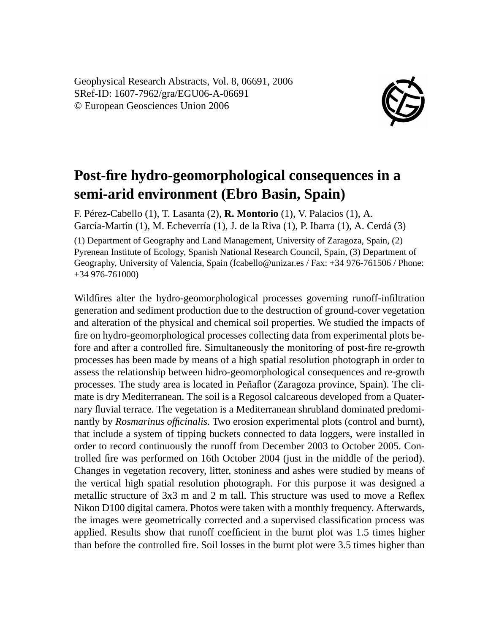Geophysical Research Abstracts, Vol. 8, 06691, 2006 SRef-ID: 1607-7962/gra/EGU06-A-06691 © European Geosciences Union 2006



## **Post-fire hydro-geomorphological consequences in a semi-arid environment (Ebro Basin, Spain)**

F. Pérez-Cabello (1), T. Lasanta (2), **R. Montorio** (1), V. Palacios (1), A. García-Martín (1), M. Echeverría (1), J. de la Riva (1), P. Ibarra (1), A. Cerdá (3) (1) Department of Geography and Land Management, University of Zaragoza, Spain, (2) Pyrenean Institute of Ecology, Spanish National Research Council, Spain, (3) Department of Geography, University of Valencia, Spain (fcabello@unizar.es / Fax: +34 976-761506 / Phone: +34 976-761000)

Wildfires alter the hydro-geomorphological processes governing runoff-infiltration generation and sediment production due to the destruction of ground-cover vegetation and alteration of the physical and chemical soil properties. We studied the impacts of fire on hydro-geomorphological processes collecting data from experimental plots before and after a controlled fire. Simultaneously the monitoring of post-fire re-growth processes has been made by means of a high spatial resolution photograph in order to assess the relationship between hidro-geomorphological consequences and re-growth processes. The study area is located in Peñaflor (Zaragoza province, Spain). The climate is dry Mediterranean. The soil is a Regosol calcareous developed from a Quaternary fluvial terrace. The vegetation is a Mediterranean shrubland dominated predominantly by *Rosmarinus officinalis*. Two erosion experimental plots (control and burnt), that include a system of tipping buckets connected to data loggers, were installed in order to record continuously the runoff from December 2003 to October 2005. Controlled fire was performed on 16th October 2004 (just in the middle of the period). Changes in vegetation recovery, litter, stoniness and ashes were studied by means of the vertical high spatial resolution photograph. For this purpose it was designed a metallic structure of 3x3 m and 2 m tall. This structure was used to move a Reflex Nikon D100 digital camera. Photos were taken with a monthly frequency. Afterwards, the images were geometrically corrected and a supervised classification process was applied. Results show that runoff coefficient in the burnt plot was 1.5 times higher than before the controlled fire. Soil losses in the burnt plot were 3.5 times higher than